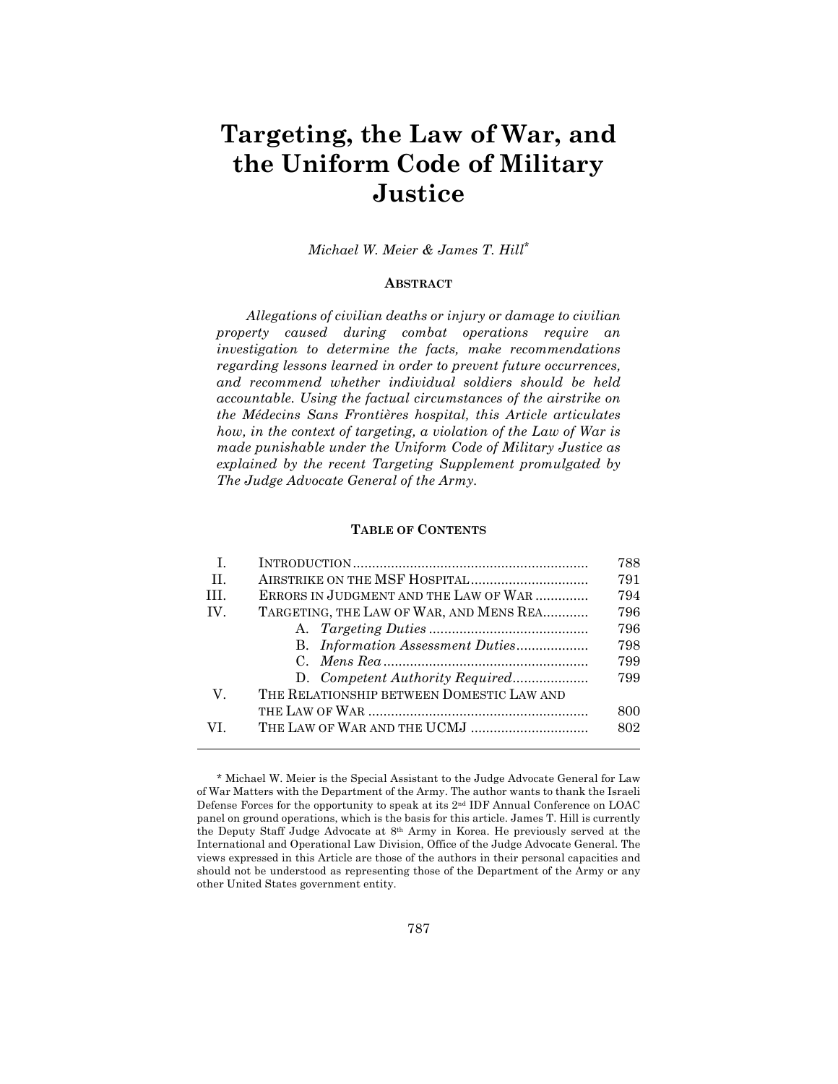# **Targeting, the Law of War, and the Uniform Code of Military Justice**

*Michael W. Meier & James T. Hill\**

# **ABSTRACT**

*Allegations of civilian deaths or injury or damage to civilian property caused during combat operations require an investigation to determine the facts, make recommendations regarding lessons learned in order to prevent future occurrences, and recommend whether individual soldiers should be held accountable. Using the factual circumstances of the airstrike on the Médecins Sans Frontières hospital, this Article articulates how, in the context of targeting, a violation of the Law of War is made punishable under the Uniform Code of Military Justice as explained by the recent Targeting Supplement promulgated by The Judge Advocate General of the Army.* 

#### **TABLE OF CONTENTS**

| I.      |                                           | 788 |
|---------|-------------------------------------------|-----|
| $\Pi$ . |                                           | 791 |
| HI.     | ERRORS IN JUDGMENT AND THE LAW OF WAR     | 794 |
| IV.     | TARGETING, THE LAW OF WAR, AND MENS REA   | 796 |
|         |                                           | 796 |
|         |                                           | 798 |
|         |                                           | 799 |
|         |                                           | 799 |
| V.      | THE RELATIONSHIP BETWEEN DOMESTIC LAW AND |     |
|         |                                           | 800 |
| VI.     | THE LAW OF WAR AND THE UCMJ               | 802 |
|         |                                           |     |

<sup>\*</sup> Michael W. Meier is the Special Assistant to the Judge Advocate General for Law of War Matters with the Department of the Army. The author wants to thank the Israeli Defense Forces for the opportunity to speak at its 2nd IDF Annual Conference on LOAC panel on ground operations, which is the basis for this article. James T. Hill is currently the Deputy Staff Judge Advocate at 8th Army in Korea. He previously served at the International and Operational Law Division, Office of the Judge Advocate General. The views expressed in this Article are those of the authors in their personal capacities and should not be understood as representing those of the Department of the Army or any other United States government entity.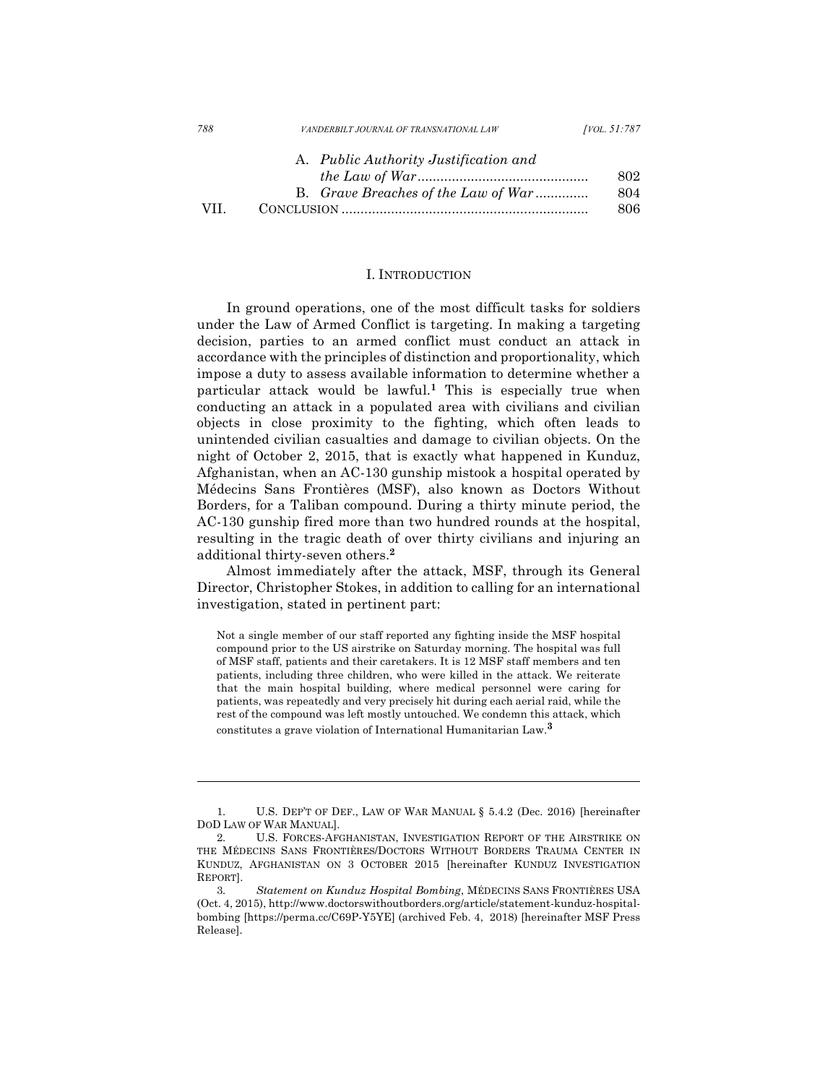| 788   | VANDERBILT JOURNAL OF TRANSNATIONAL LAW | <i>[VOL.</i> 51:787] |
|-------|-----------------------------------------|----------------------|
|       | A. Public Authority Justification and   |                      |
|       |                                         | 802                  |
|       | B. Grave Breaches of the Law of War     | 804                  |
| VII – |                                         | 806                  |

#### I. INTRODUCTION

In ground operations, one of the most difficult tasks for soldiers under the Law of Armed Conflict is targeting. In making a targeting decision, parties to an armed conflict must conduct an attack in accordance with the principles of distinction and proportionality, which impose a duty to assess available information to determine whether a particular attack would be lawful.**<sup>1</sup>** This is especially true when conducting an attack in a populated area with civilians and civilian objects in close proximity to the fighting, which often leads to unintended civilian casualties and damage to civilian objects. On the night of October 2, 2015, that is exactly what happened in Kunduz, Afghanistan, when an AC-130 gunship mistook a hospital operated by Médecins Sans Frontières (MSF), also known as Doctors Without Borders, for a Taliban compound. During a thirty minute period, the AC-130 gunship fired more than two hundred rounds at the hospital, resulting in the tragic death of over thirty civilians and injuring an additional thirty-seven others.**<sup>2</sup>**

Almost immediately after the attack, MSF, through its General Director, Christopher Stokes, in addition to calling for an international investigation, stated in pertinent part:

Not a single member of our staff reported any fighting inside the MSF hospital compound prior to the US airstrike on Saturday morning. The hospital was full of MSF staff, patients and their caretakers. It is 12 MSF staff members and ten patients, including three children, who were killed in the attack. We reiterate that the main hospital building, where medical personnel were caring for patients, was repeatedly and very precisely hit during each aerial raid, while the rest of the compound was left mostly untouched. We condemn this attack, which constitutes a grave violation of International Humanitarian Law.**<sup>3</sup>**

<sup>1.</sup> U.S. DEP'T OF DEF., LAW OF WAR MANUAL § 5.4.2 (Dec. 2016) [hereinafter DOD LAW OF WAR MANUAL].

<sup>2.</sup> U.S. FORCES-AFGHANISTAN, INVESTIGATION REPORT OF THE AIRSTRIKE ON THE MÉDECINS SANS FRONTIÈRES/DOCTORS WITHOUT BORDERS TRAUMA CENTER IN KUNDUZ, AFGHANISTAN ON 3 OCTOBER 2015 [hereinafter KUNDUZ INVESTIGATION REPORT].

<sup>3.</sup> *Statement on Kunduz Hospital Bombing*, MÉDECINS SANS FRONTIÈRES USA (Oct. 4, 2015), http://www.doctorswithoutborders.org/article/statement-kunduz-hospitalbombing [https://perma.cc/C69P-Y5YE] (archived Feb. 4, 2018) [hereinafter MSF Press Release].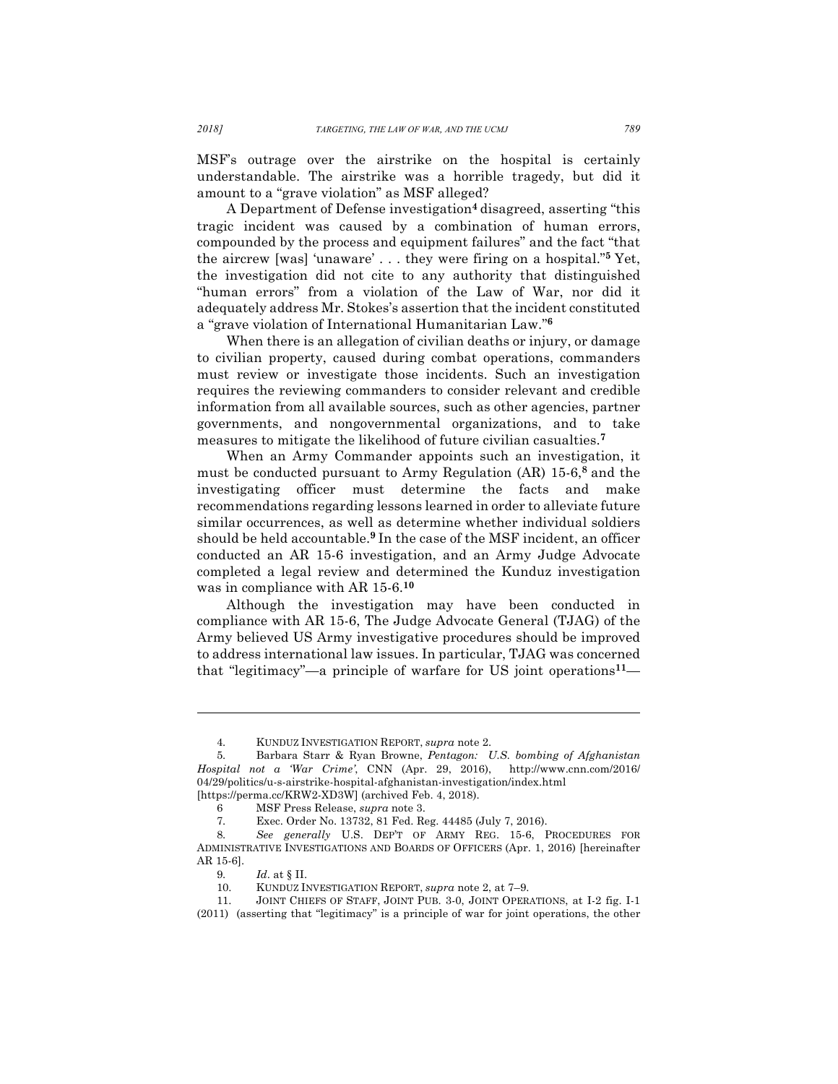MSF's outrage over the airstrike on the hospital is certainly understandable. The airstrike was a horrible tragedy, but did it amount to a "grave violation" as MSF alleged?

A Department of Defense investigation**<sup>4</sup>** disagreed, asserting "this tragic incident was caused by a combination of human errors, compounded by the process and equipment failures" and the fact "that the aircrew [was] 'unaware' . . . they were firing on a hospital."**<sup>5</sup>** Yet, the investigation did not cite to any authority that distinguished "human errors" from a violation of the Law of War, nor did it adequately address Mr. Stokes's assertion that the incident constituted a "grave violation of International Humanitarian Law."**<sup>6</sup>**

When there is an allegation of civilian deaths or injury, or damage to civilian property, caused during combat operations, commanders must review or investigate those incidents. Such an investigation requires the reviewing commanders to consider relevant and credible information from all available sources, such as other agencies, partner governments, and nongovernmental organizations, and to take measures to mitigate the likelihood of future civilian casualties.**<sup>7</sup>**

When an Army Commander appoints such an investigation, it must be conducted pursuant to Army Regulation (AR) 15-6, **<sup>8</sup>** and the investigating officer must determine the facts and make recommendations regarding lessons learned in order to alleviate future similar occurrences, as well as determine whether individual soldiers should be held accountable.**<sup>9</sup>** In the case of the MSF incident, an officer conducted an AR 15-6 investigation, and an Army Judge Advocate completed a legal review and determined the Kunduz investigation was in compliance with AR 15-6.**<sup>10</sup>**

Although the investigation may have been conducted in compliance with AR 15-6, The Judge Advocate General (TJAG) of the Army believed US Army investigative procedures should be improved to address international law issues. In particular, TJAG was concerned that "legitimacy"—a principle of warfare for US joint operations**11**—

<sup>4.</sup> KUNDUZ INVESTIGATION REPORT, *supra* note 2.

<sup>5.</sup> Barbara Starr & Ryan Browne, *Pentagon: U.S. bombing of Afghanistan Hospital not a 'War Crime'*, CNN (Apr. 29, 2016), http://www.cnn.com/2016/ 04/29/politics/u-s-airstrike-hospital-afghanistan-investigation/index.html [https://perma.cc/KRW2-XD3W] (archived Feb. 4, 2018).

<sup>6</sup> MSF Press Release, *supra* note 3.

<sup>7.</sup> Exec. Order No. 13732, 81 Fed. Reg. 44485 (July 7, 2016).

<sup>8.</sup> *See generally* U.S. DEP'T OF ARMY REG. 15-6, PROCEDURES FOR ADMINISTRATIVE INVESTIGATIONS AND BOARDS OF OFFICERS (Apr. 1, 2016) [hereinafter AR 15-6].

<sup>9.</sup> *Id*. at § II.

<sup>10.</sup> KUNDUZ INVESTIGATION REPORT, *supra* note 2, at 7–9.

<sup>11.</sup> JOINT CHIEFS OF STAFF, JOINT PUB. 3-0, JOINT OPERATIONS, at I-2 fig. I-1 (2011) (asserting that "legitimacy" is a principle of war for joint operations, the other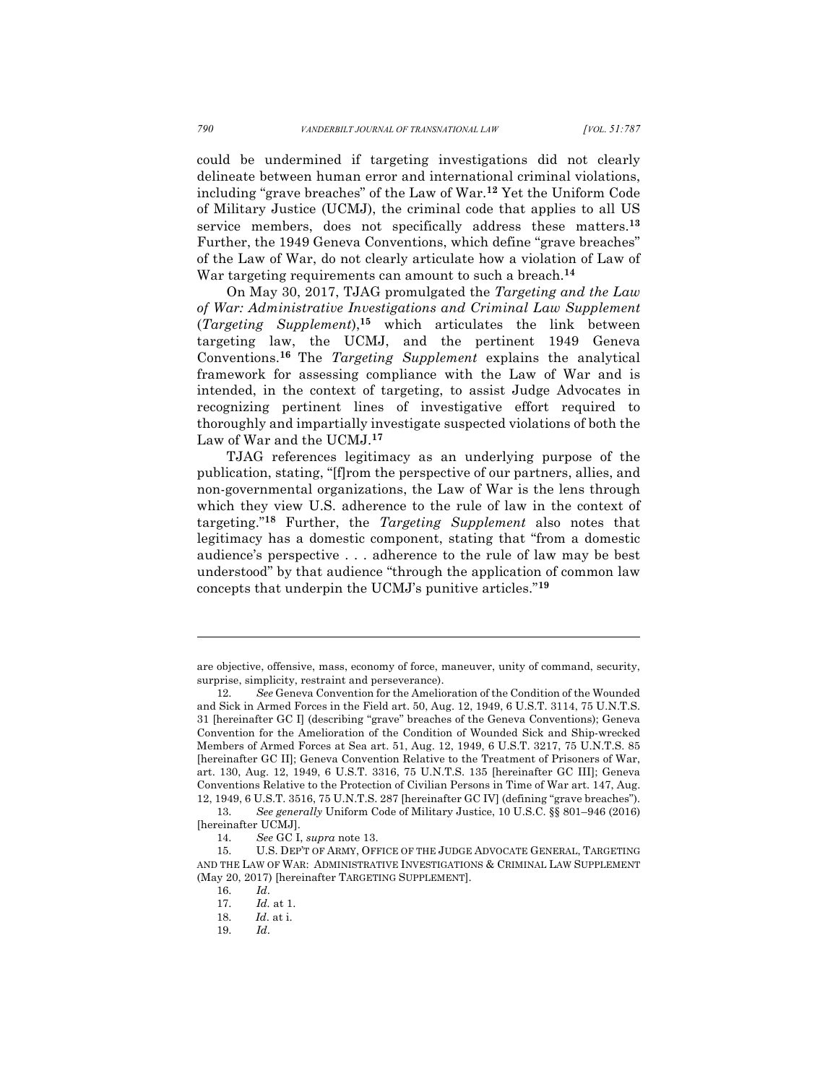could be undermined if targeting investigations did not clearly delineate between human error and international criminal violations, including "grave breaches" of the Law of War.**<sup>12</sup>** Yet the Uniform Code of Military Justice (UCMJ), the criminal code that applies to all US service members, does not specifically address these matters.**<sup>13</sup>** Further, the 1949 Geneva Conventions, which define "grave breaches" of the Law of War, do not clearly articulate how a violation of Law of War targeting requirements can amount to such a breach.**14** 

On May 30, 2017, TJAG promulgated the *Targeting and the Law of War: Administrative Investigations and Criminal Law Supplement* (*Targeting Supplement*), **<sup>15</sup>** which articulates the link between targeting law, the UCMJ, and the pertinent 1949 Geneva Conventions. **<sup>16</sup>** The *Targeting Supplement* explains the analytical framework for assessing compliance with the Law of War and is intended, in the context of targeting, to assist Judge Advocates in recognizing pertinent lines of investigative effort required to thoroughly and impartially investigate suspected violations of both the Law of War and the UCMJ.**<sup>17</sup>**

TJAG references legitimacy as an underlying purpose of the publication, stating, "[f]rom the perspective of our partners, allies, and non-governmental organizations, the Law of War is the lens through which they view U.S. adherence to the rule of law in the context of targeting."**<sup>18</sup>** Further, the *Targeting Supplement* also notes that legitimacy has a domestic component, stating that "from a domestic audience's perspective . . . adherence to the rule of law may be best understood" by that audience "through the application of common law concepts that underpin the UCMJ's punitive articles."**<sup>19</sup>**

are objective, offensive, mass, economy of force, maneuver, unity of command, security, surprise, simplicity, restraint and perseverance).

<sup>12.</sup> *See* Geneva Convention for the Amelioration of the Condition of the Wounded and Sick in Armed Forces in the Field art. 50, Aug. 12, 1949, 6 U.S.T. 3114, 75 U.N.T.S. 31 [hereinafter GC I] (describing "grave" breaches of the Geneva Conventions); Geneva Convention for the Amelioration of the Condition of Wounded Sick and Ship-wrecked Members of Armed Forces at Sea art. 51, Aug. 12, 1949, 6 U.S.T. 3217, 75 U.N.T.S. 85 [hereinafter GC II]; Geneva Convention Relative to the Treatment of Prisoners of War, art. 130, Aug. 12, 1949, 6 U.S.T. 3316, 75 U.N.T.S. 135 [hereinafter GC III]; Geneva Conventions Relative to the Protection of Civilian Persons in Time of War art. 147, Aug. 12, 1949, 6 U.S.T. 3516, 75 U.N.T.S. 287 [hereinafter GC IV] (defining "grave breaches").

<sup>13.</sup> *See generally* Uniform Code of Military Justice, 10 U.S.C. §§ 801–946 (2016) [hereinafter UCMJ].

<sup>14.</sup> *See* GC I, *supra* note 13.

<sup>15.</sup> U.S. DEP'T OF ARMY, OFFICE OF THE JUDGE ADVOCATE GENERAL, TARGETING AND THE LAW OF WAR: ADMINISTRATIVE INVESTIGATIONS & CRIMINAL LAW SUPPLEMENT (May 20, 2017) [hereinafter TARGETING SUPPLEMENT].

<sup>16.</sup> *Id*.

<sup>17.</sup> *Id.* at 1.

<sup>18.</sup> *Id*. at i.

<sup>19.</sup> *Id*.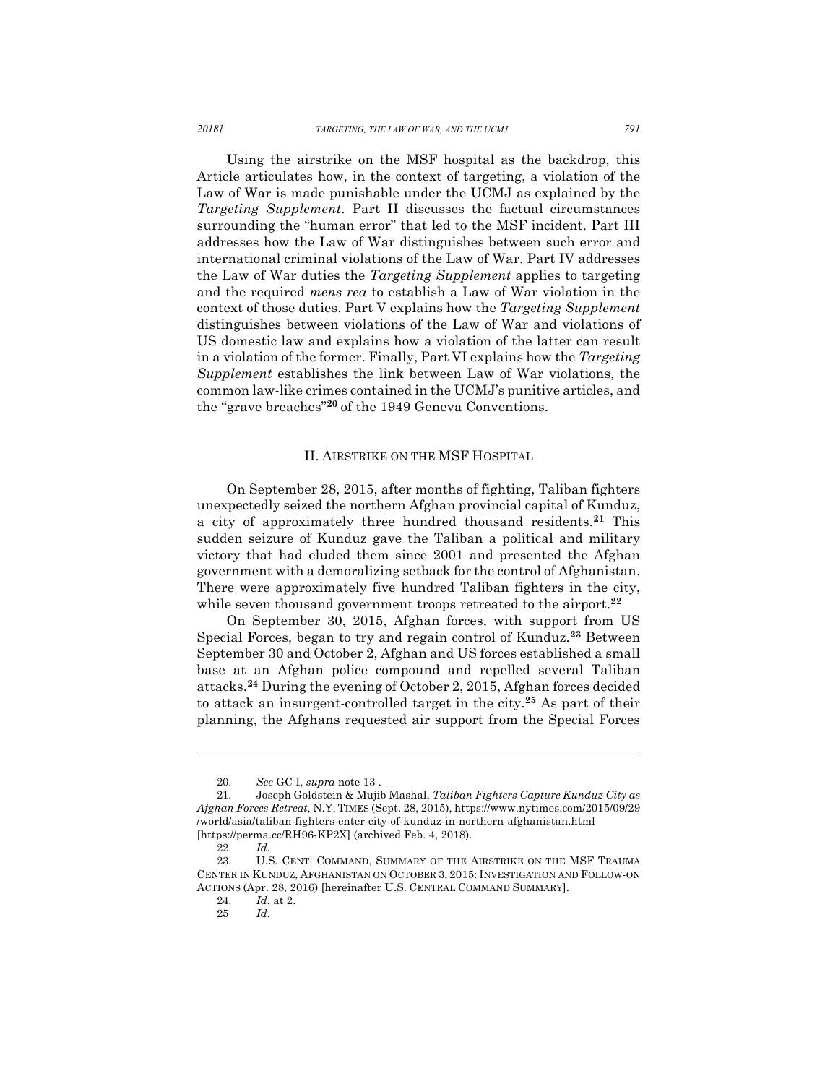Using the airstrike on the MSF hospital as the backdrop, this Article articulates how, in the context of targeting, a violation of the Law of War is made punishable under the UCMJ as explained by the *Targeting Supplement*. Part II discusses the factual circumstances surrounding the "human error" that led to the MSF incident. Part III addresses how the Law of War distinguishes between such error and international criminal violations of the Law of War. Part IV addresses the Law of War duties the *Targeting Supplement* applies to targeting and the required *mens rea* to establish a Law of War violation in the context of those duties. Part V explains how the *Targeting Supplement* distinguishes between violations of the Law of War and violations of US domestic law and explains how a violation of the latter can result in a violation of the former. Finally, Part VI explains how the *Targeting Supplement* establishes the link between Law of War violations, the common law-like crimes contained in the UCMJ's punitive articles, and the "grave breaches"**<sup>20</sup>** of the 1949 Geneva Conventions.

## II. AIRSTRIKE ON THE MSF HOSPITAL

On September 28, 2015, after months of fighting, Taliban fighters unexpectedly seized the northern Afghan provincial capital of Kunduz, a city of approximately three hundred thousand residents.**<sup>21</sup>** This sudden seizure of Kunduz gave the Taliban a political and military victory that had eluded them since 2001 and presented the Afghan government with a demoralizing setback for the control of Afghanistan. There were approximately five hundred Taliban fighters in the city, while seven thousand government troops retreated to the airport.<sup>22</sup>

On September 30, 2015, Afghan forces, with support from US Special Forces, began to try and regain control of Kunduz.**<sup>23</sup>** Between September 30 and October 2, Afghan and US forces established a small base at an Afghan police compound and repelled several Taliban attacks.**<sup>24</sup>** During the evening of October 2, 2015, Afghan forces decided to attack an insurgent-controlled target in the city.**<sup>25</sup>** As part of their planning, the Afghans requested air support from the Special Forces

<sup>20.</sup> *See* GC I, *supra* note 13 .

<sup>21.</sup> Joseph Goldstein & Mujib Mashal, *Taliban Fighters Capture Kunduz City as Afghan Forces Retreat,* N.Y. TIMES (Sept. 28, 2015), https://www.nytimes.com/2015/09/29 /world/asia/taliban-fighters-enter-city-of-kunduz-in-northern-afghanistan.html [https://perma.cc/RH96-KP2X] (archived Feb. 4, 2018).

<sup>22.</sup> *Id*.

<sup>23.</sup> U.S. CENT. COMMAND, SUMMARY OF THE AIRSTRIKE ON THE MSF TRAUMA CENTER IN KUNDUZ, AFGHANISTAN ON OCTOBER 3, 2015: INVESTIGATION AND FOLLOW-ON ACTIONS (Apr. 28, 2016) [hereinafter U.S. CENTRAL COMMAND SUMMARY].

<sup>24.</sup> *Id*. at 2.

<sup>25</sup> *Id*.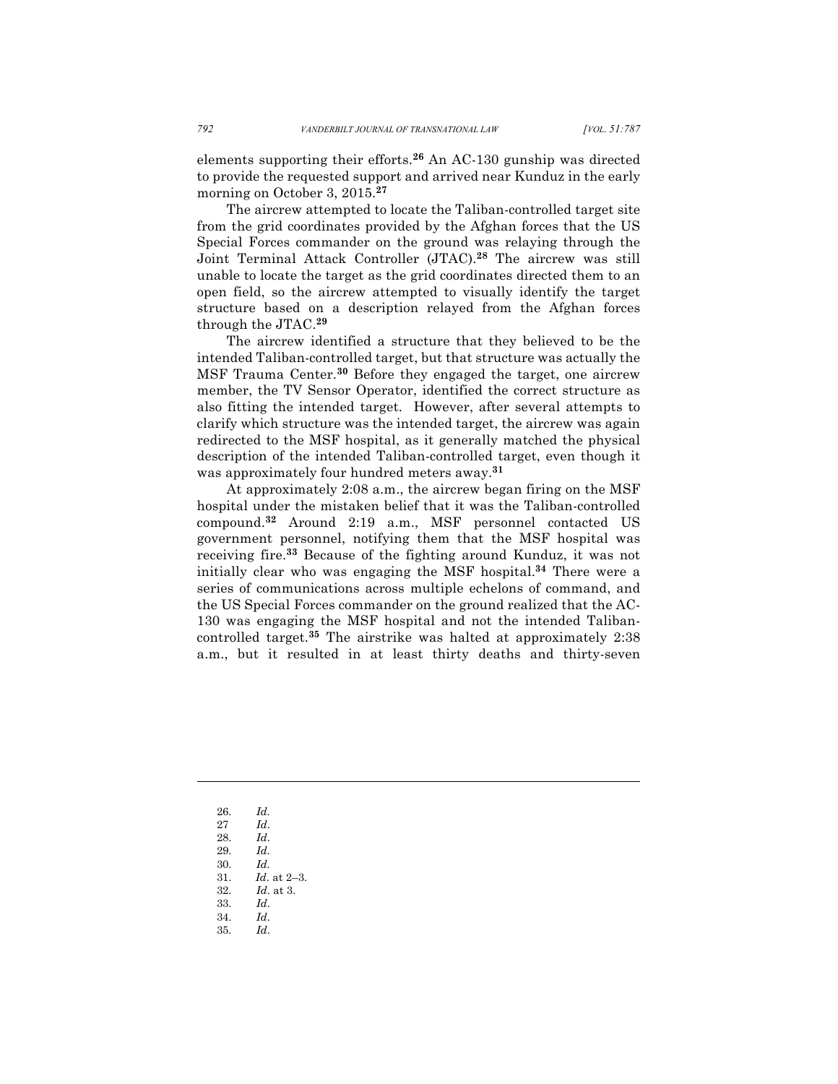elements supporting their efforts.**<sup>26</sup>** An AC-130 gunship was directed to provide the requested support and arrived near Kunduz in the early morning on October 3, 2015.**<sup>27</sup>**

The aircrew attempted to locate the Taliban-controlled target site from the grid coordinates provided by the Afghan forces that the US Special Forces commander on the ground was relaying through the Joint Terminal Attack Controller (JTAC).**<sup>28</sup>** The aircrew was still unable to locate the target as the grid coordinates directed them to an open field, so the aircrew attempted to visually identify the target structure based on a description relayed from the Afghan forces through the JTAC.**<sup>29</sup>**

The aircrew identified a structure that they believed to be the intended Taliban-controlled target, but that structure was actually the MSF Trauma Center.**<sup>30</sup>** Before they engaged the target, one aircrew member, the TV Sensor Operator, identified the correct structure as also fitting the intended target. However, after several attempts to clarify which structure was the intended target, the aircrew was again redirected to the MSF hospital, as it generally matched the physical description of the intended Taliban-controlled target, even though it was approximately four hundred meters away.**<sup>31</sup>**

At approximately 2:08 a.m., the aircrew began firing on the MSF hospital under the mistaken belief that it was the Taliban-controlled compound.**<sup>32</sup>** Around 2:19 a.m., MSF personnel contacted US government personnel, notifying them that the MSF hospital was receiving fire.**<sup>33</sup>** Because of the fighting around Kunduz, it was not initially clear who was engaging the MSF hospital.**<sup>34</sup>** There were a series of communications across multiple echelons of command, and the US Special Forces commander on the ground realized that the AC-130 was engaging the MSF hospital and not the intended Talibancontrolled target.**<sup>35</sup>** The airstrike was halted at approximately 2:38 a.m., but it resulted in at least thirty deaths and thirty-seven

26. *Id.*

- 27 *Id*.
- 28. *Id*.
- 29. *Id.*
- 30. *Id.*
- 31. *Id*. at 2–3.
- 32. *Id*. at 3. 33. *Id*.
- 34. *Id*.
- 35. *Id*.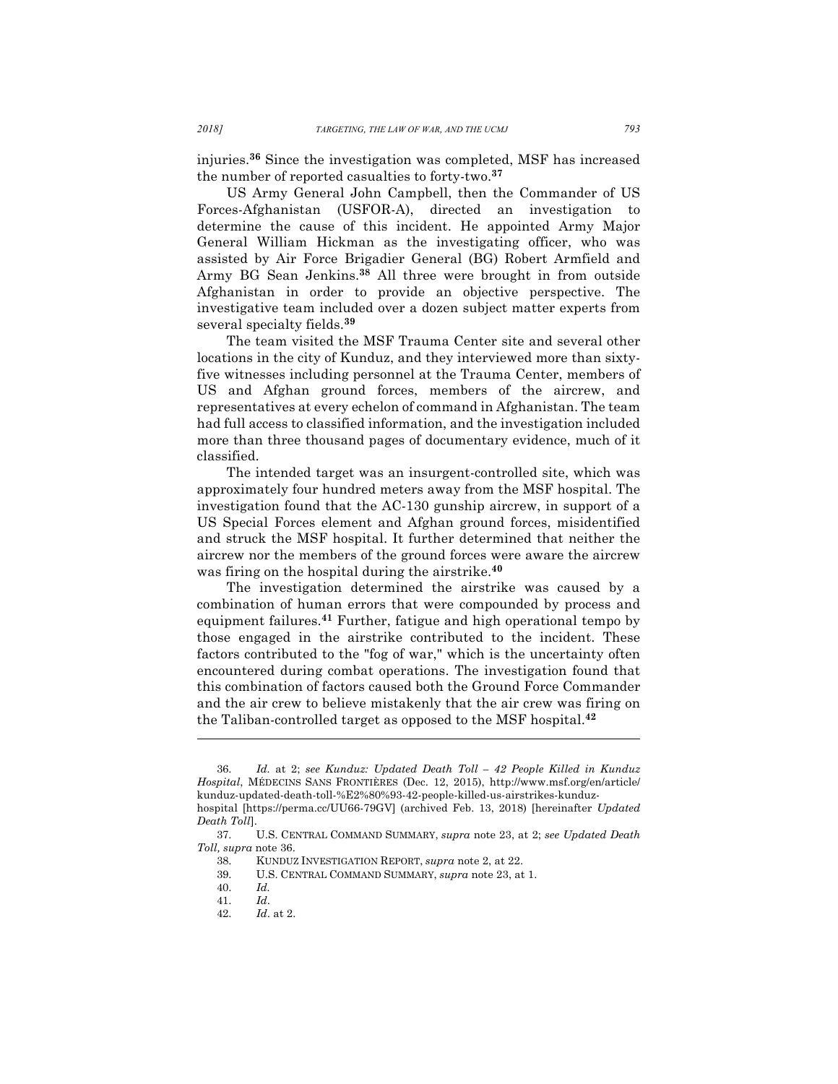injuries.**<sup>36</sup>** Since the investigation was completed, MSF has increased the number of reported casualties to forty-two.**<sup>37</sup>**

US Army General John Campbell, then the Commander of US Forces-Afghanistan (USFOR-A), directed an investigation to determine the cause of this incident. He appointed Army Major General William Hickman as the investigating officer, who was assisted by Air Force Brigadier General (BG) Robert Armfield and Army BG Sean Jenkins.**<sup>38</sup>** All three were brought in from outside Afghanistan in order to provide an objective perspective. The investigative team included over a dozen subject matter experts from several specialty fields.**<sup>39</sup>**

The team visited the MSF Trauma Center site and several other locations in the city of Kunduz, and they interviewed more than sixtyfive witnesses including personnel at the Trauma Center, members of US and Afghan ground forces, members of the aircrew, and representatives at every echelon of command in Afghanistan. The team had full access to classified information, and the investigation included more than three thousand pages of documentary evidence, much of it classified.

The intended target was an insurgent-controlled site, which was approximately four hundred meters away from the MSF hospital. The investigation found that the AC-130 gunship aircrew, in support of a US Special Forces element and Afghan ground forces, misidentified and struck the MSF hospital. It further determined that neither the aircrew nor the members of the ground forces were aware the aircrew was firing on the hospital during the airstrike.**<sup>40</sup>**

The investigation determined the airstrike was caused by a combination of human errors that were compounded by process and equipment failures.**<sup>41</sup>** Further, fatigue and high operational tempo by those engaged in the airstrike contributed to the incident. These factors contributed to the "fog of war," which is the uncertainty often encountered during combat operations. The investigation found that this combination of factors caused both the Ground Force Commander and the air crew to believe mistakenly that the air crew was firing on the Taliban-controlled target as opposed to the MSF hospital.**<sup>42</sup>**

<sup>36.</sup> *Id.* at 2; *see Kunduz: Updated Death Toll – 42 People Killed in Kunduz Hospital*, MÉDECINS SANS FRONTIÈRES (Dec. 12, 2015), http://www.msf.org/en/article/ kunduz-updated-death-toll-%E2%80%93-42-people-killed-us-airstrikes-kunduzhospital [https://perma.cc/UU66-79GV] (archived Feb. 13, 2018) [hereinafter *Updated* 

*Death Toll*].

<sup>37.</sup> U.S. CENTRAL COMMAND SUMMARY, *supra* note 23, at 2; *see Updated Death Toll, supra* note 36.

<sup>38.</sup> KUNDUZ INVESTIGATION REPORT, *supra* note 2, at 22.

<sup>39.</sup> U.S. CENTRAL COMMAND SUMMARY, *supra* note 23, at 1.

<sup>40.</sup> *Id.*

<sup>41.</sup> *Id*.

<sup>42.</sup> *Id*. at 2.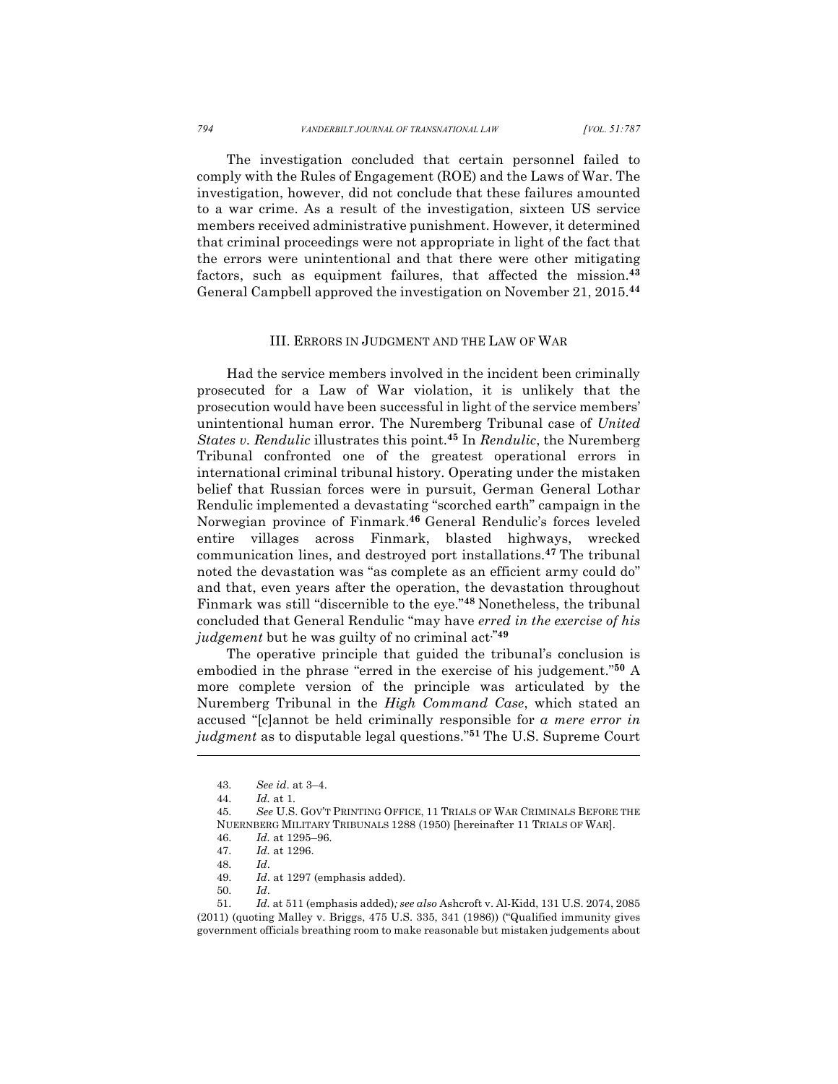The investigation concluded that certain personnel failed to comply with the Rules of Engagement (ROE) and the Laws of War. The investigation, however, did not conclude that these failures amounted to a war crime. As a result of the investigation, sixteen US service members received administrative punishment. However, it determined that criminal proceedings were not appropriate in light of the fact that the errors were unintentional and that there were other mitigating factors, such as equipment failures, that affected the mission.**<sup>43</sup>** General Campbell approved the investigation on November 21, 2015.**<sup>44</sup>**

## III. ERRORS IN JUDGMENT AND THE LAW OF WAR

Had the service members involved in the incident been criminally prosecuted for a Law of War violation, it is unlikely that the prosecution would have been successful in light of the service members' unintentional human error. The Nuremberg Tribunal case of *United States v. Rendulic* illustrates this point.**<sup>45</sup>** In *Rendulic*, the Nuremberg Tribunal confronted one of the greatest operational errors in international criminal tribunal history. Operating under the mistaken belief that Russian forces were in pursuit, German General Lothar Rendulic implemented a devastating "scorched earth" campaign in the Norwegian province of Finmark.**<sup>46</sup>** General Rendulic's forces leveled entire villages across Finmark, blasted highways, wrecked communication lines, and destroyed port installations.**<sup>47</sup>** The tribunal noted the devastation was "as complete as an efficient army could do" and that, even years after the operation, the devastation throughout Finmark was still "discernible to the eye."**<sup>48</sup>** Nonetheless, the tribunal concluded that General Rendulic "may have *erred in the exercise of his judgement* but he was guilty of no criminal act**."49**

The operative principle that guided the tribunal's conclusion is embodied in the phrase "erred in the exercise of his judgement."**<sup>50</sup>** A more complete version of the principle was articulated by the Nuremberg Tribunal in the *High Command Case*, which stated an accused "[c]annot be held criminally responsible for *a mere error in judgment* as to disputable legal questions."**<sup>51</sup>** The U.S. Supreme Court

<sup>43.</sup> *See id*. at 3–4.

<sup>44.</sup> *Id.* at 1*.*

<sup>45.</sup> *See* U.S. GOV'T PRINTING OFFICE, 11 TRIALS OF WAR CRIMINALS BEFORE THE NUERNBERG MILITARY TRIBUNALS 1288 (1950) [hereinafter 11 TRIALS OF WAR].

<sup>46.</sup> *Id.* at 1295–96*.*

<sup>47.</sup> *Id.* at 1296.

<sup>48.</sup> *Id*.

<sup>49.</sup> *Id*. at 1297 (emphasis added).

<sup>50.</sup> *Id*.

<sup>51.</sup> *Id.* at 511 (emphasis added)*; see also* Ashcroft v. Al-Kidd, 131 U.S. 2074, 2085 (2011) (quoting Malley v. Briggs, 475 U.S. 335, 341 (1986)) ("Qualified immunity gives government officials breathing room to make reasonable but mistaken judgements about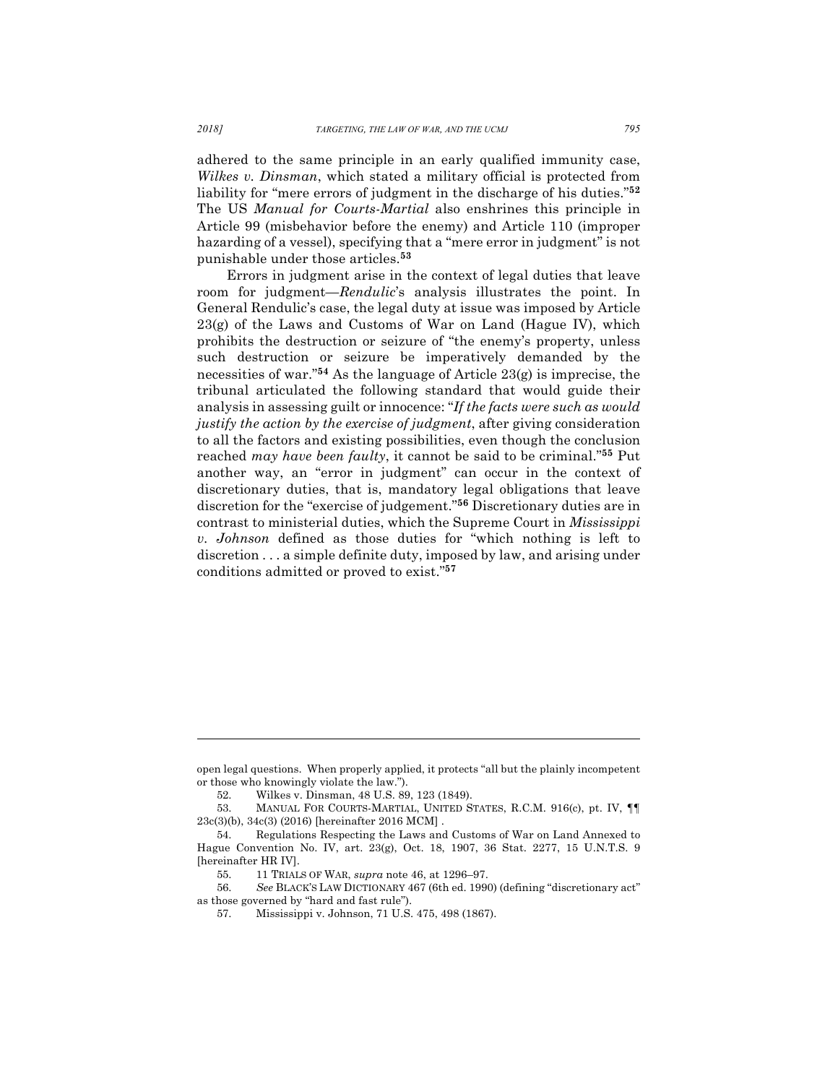adhered to the same principle in an early qualified immunity case, *Wilkes v. Dinsman*, which stated a military official is protected from liability for "mere errors of judgment in the discharge of his duties."**<sup>52</sup>** The US *Manual for Courts-Martial* also enshrines this principle in Article 99 (misbehavior before the enemy) and Article 110 (improper hazarding of a vessel), specifying that a "mere error in judgment" is not punishable under those articles.**<sup>53</sup>**

Errors in judgment arise in the context of legal duties that leave room for judgment—*Rendulic*'s analysis illustrates the point. In General Rendulic's case, the legal duty at issue was imposed by Article 23(g) of the Laws and Customs of War on Land (Hague IV), which prohibits the destruction or seizure of "the enemy's property, unless such destruction or seizure be imperatively demanded by the necessities of war."**<sup>54</sup>** As the language of Article 23(g) is imprecise, the tribunal articulated the following standard that would guide their analysis in assessing guilt or innocence: "*If the facts were such as would justify the action by the exercise of judgment*, after giving consideration to all the factors and existing possibilities, even though the conclusion reached *may have been faulty*, it cannot be said to be criminal."**<sup>55</sup>** Put another way, an "error in judgment" can occur in the context of discretionary duties, that is, mandatory legal obligations that leave discretion for the "exercise of judgement."**<sup>56</sup>** Discretionary duties are in contrast to ministerial duties, which the Supreme Court in *Mississippi v. Johnson* defined as those duties for "which nothing is left to discretion . . . a simple definite duty, imposed by law, and arising under conditions admitted or proved to exist."**<sup>57</sup>**

open legal questions. When properly applied, it protects "all but the plainly incompetent or those who knowingly violate the law.").

<sup>52.</sup> Wilkes v. Dinsman, 48 U.S. 89, 123 (1849).

<sup>53.</sup> MANUAL FOR COURTS-MARTIAL, UNITED STATES, R.C.M. 916(c), pt. IV, ¶¶ 23c(3)(b), 34c(3) (2016) [hereinafter 2016 MCM] .

<sup>54.</sup> Regulations Respecting the Laws and Customs of War on Land Annexed to Hague Convention No. IV, art. 23(g), Oct. 18, 1907, 36 Stat. 2277, 15 U.N.T.S. 9 [hereinafter HR IV].

<sup>55.</sup> 11 TRIALS OF WAR, *supra* note 46, at 1296–97.

<sup>56.</sup> *See* BLACK'S LAW DICTIONARY 467 (6th ed. 1990) (defining "discretionary act" as those governed by "hard and fast rule").

<sup>57.</sup> Mississippi v. Johnson, 71 U.S. 475, 498 (1867).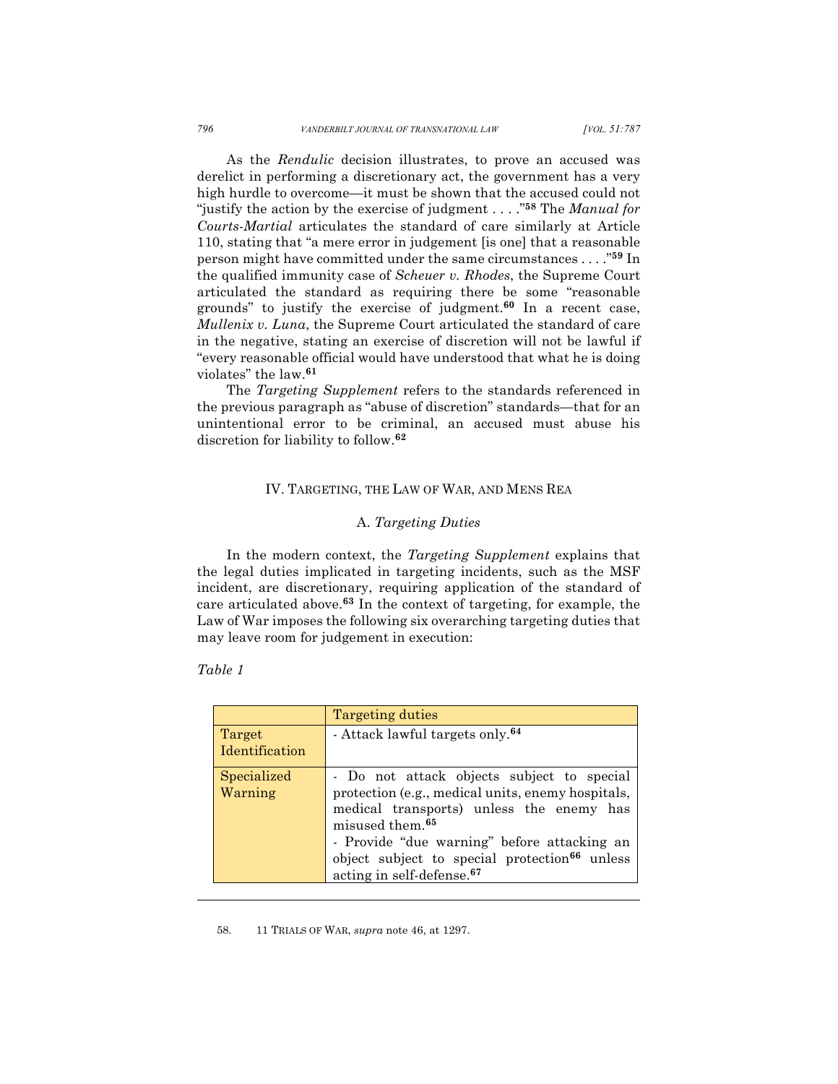As the *Rendulic* decision illustrates, to prove an accused was derelict in performing a discretionary act, the government has a very high hurdle to overcome—it must be shown that the accused could not "justify the action by the exercise of judgment . . . ."**<sup>58</sup>** The *Manual for Courts-Martial* articulates the standard of care similarly at Article 110, stating that "a mere error in judgement [is one] that a reasonable person might have committed under the same circumstances . . . ."**<sup>59</sup>** In the qualified immunity case of *Scheuer v. Rhodes*, the Supreme Court articulated the standard as requiring there be some "reasonable grounds" to justify the exercise of judgment.**<sup>60</sup>** In a recent case, *Mullenix v. Luna*, the Supreme Court articulated the standard of care in the negative, stating an exercise of discretion will not be lawful if "every reasonable official would have understood that what he is doing violates" the law.**<sup>61</sup>**

The *Targeting Supplement* refers to the standards referenced in the previous paragraph as "abuse of discretion" standards—that for an unintentional error to be criminal, an accused must abuse his discretion for liability to follow.**<sup>62</sup>**

# IV. TARGETING, THE LAW OF WAR, AND MENS REA

## A. *Targeting Duties*

In the modern context, the *Targeting Supplement* explains that the legal duties implicated in targeting incidents, such as the MSF incident, are discretionary, requiring application of the standard of care articulated above.**<sup>63</sup>** In the context of targeting, for example, the Law of War imposes the following six overarching targeting duties that may leave room for judgement in execution:

# *Table 1*

l

|                          | Targeting duties                                                                                                                                                           |
|--------------------------|----------------------------------------------------------------------------------------------------------------------------------------------------------------------------|
| Target<br>Identification | - Attack lawful targets only. <sup>64</sup>                                                                                                                                |
|                          |                                                                                                                                                                            |
| Specialized<br>Warning   | - Do not attack objects subject to special<br>protection (e.g., medical units, enemy hospitals,<br>medical transports) unless the enemy has<br>misused them. <sup>65</sup> |
|                          | - Provide "due warning" before attacking an<br>object subject to special protection <sup>66</sup> unless<br>acting in self-defense. <sup>67</sup>                          |

58. 11 TRIALS OF WAR, *supra* note 46, at 1297.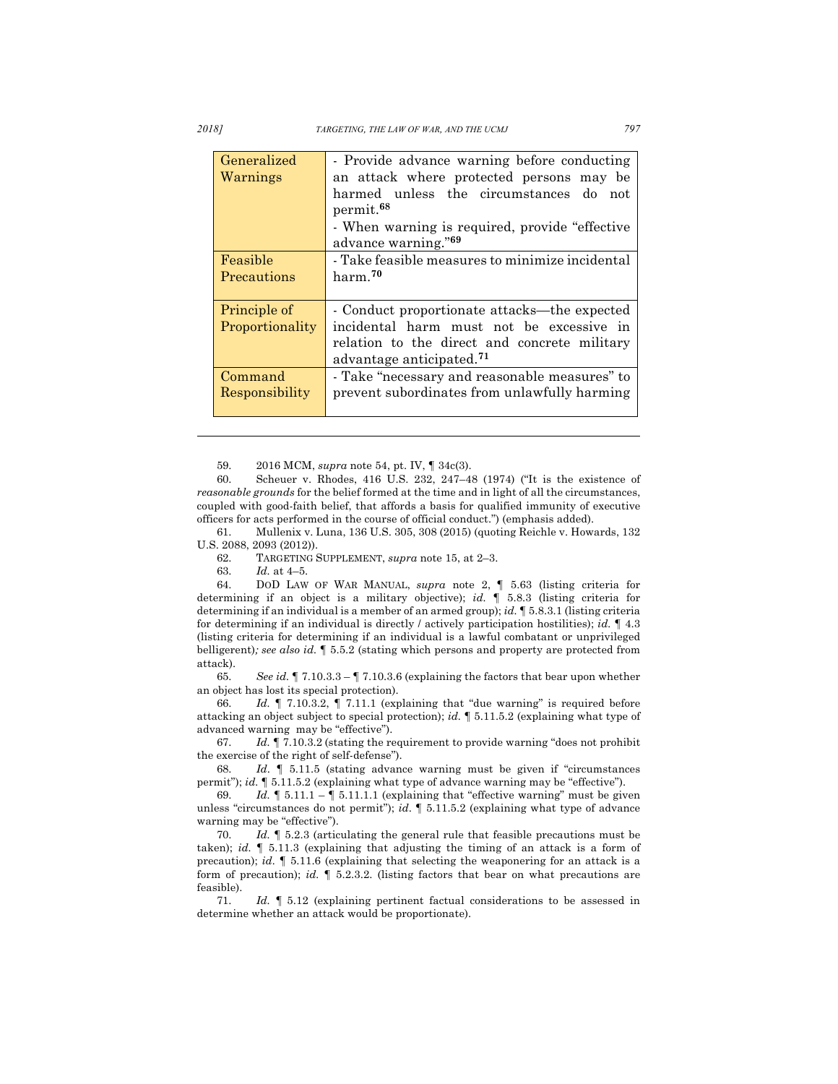*2018] TARGETING, THE LAW OF WAR, AND THE UCMJ 797*

| Generalized<br>Warnings | - Provide advance warning before conducting<br>an attack where protected persons may be<br>harmed unless the circumstances do not<br>permit. <sup>68</sup><br>- When warning is required, provide "effective"<br>advance warning." <sup>69</sup> |
|-------------------------|--------------------------------------------------------------------------------------------------------------------------------------------------------------------------------------------------------------------------------------------------|
| Feasible                | - Take feasible measures to minimize incidental                                                                                                                                                                                                  |
| Precautions             | harm. <sup>70</sup>                                                                                                                                                                                                                              |
| Principle of            | - Conduct proportionate attacks—the expected                                                                                                                                                                                                     |
| Proportionality         | incidental harm must not be excessive in                                                                                                                                                                                                         |
|                         | relation to the direct and concrete military                                                                                                                                                                                                     |
|                         | advantage anticipated. <sup>71</sup>                                                                                                                                                                                                             |
| Command                 | - Take "necessary and reasonable measures" to                                                                                                                                                                                                    |
| Responsibility          | prevent subordinates from unlawfully harming                                                                                                                                                                                                     |

59. 2016 MCM, *supra* note 54, pt. IV, ¶ 34c(3).

60. Scheuer v. Rhodes, 416 U.S. 232, 247–48 (1974) ("It is the existence of *reasonable grounds* for the belief formed at the time and in light of all the circumstances, coupled with good-faith belief, that affords a basis for qualified immunity of executive officers for acts performed in the course of official conduct.") (emphasis added).

61. Mullenix v. Luna, 136 U.S. 305, 308 (2015) (quoting Reichle v. Howards, 132 U.S. 2088, 2093 (2012)).

62. TARGETING SUPPLEMENT, *supra* note 15, at 2–3.

63. *Id.* at 4–5.

64. DOD LAW OF WAR MANUAL, *supra* note 2, ¶ 5.63 (listing criteria for determining if an object is a military objective); *id.* ¶ 5.8.3 (listing criteria for determining if an individual is a member of an armed group); *id.* ¶ 5.8.3.1 (listing criteria for determining if an individual is directly / actively participation hostilities); *id.* ¶ 4.3 (listing criteria for determining if an individual is a lawful combatant or unprivileged belligerent)*; see also id.* ¶ 5.5.2 (stating which persons and property are protected from attack).

65. *See id.* ¶ 7.10.3.3 – ¶ 7.10.3.6 (explaining the factors that bear upon whether an object has lost its special protection).

66. *Id.* ¶ 7.10.3.2, ¶ 7.11.1 (explaining that "due warning" is required before attacking an object subject to special protection); *id.* ¶ 5.11.5.2 (explaining what type of advanced warning may be "effective").

67. *Id.* ¶ 7.10.3.2 (stating the requirement to provide warning "does not prohibit the exercise of the right of self-defense").

68. *Id*. ¶ 5.11.5 (stating advance warning must be given if "circumstances permit"); *id.* ¶ 5.11.5.2 (explaining what type of advance warning may be "effective").

69. *Id.*  $\oint 5.11.1 - \oint 5.11.1.1$  (explaining that "effective warning" must be given unless "circumstances do not permit"); *id*. ¶ 5.11.5.2 (explaining what type of advance warning may be "effective").

70. *Id.* ¶ 5.2.3 (articulating the general rule that feasible precautions must be taken); *id.* ¶ 5.11.3 (explaining that adjusting the timing of an attack is a form of precaution); *id.* ¶ 5.11.6 (explaining that selecting the weaponering for an attack is a form of precaution); *id.* ¶ 5.2.3.2. (listing factors that bear on what precautions are feasible).

71. *Id.* ¶ 5.12 (explaining pertinent factual considerations to be assessed in determine whether an attack would be proportionate).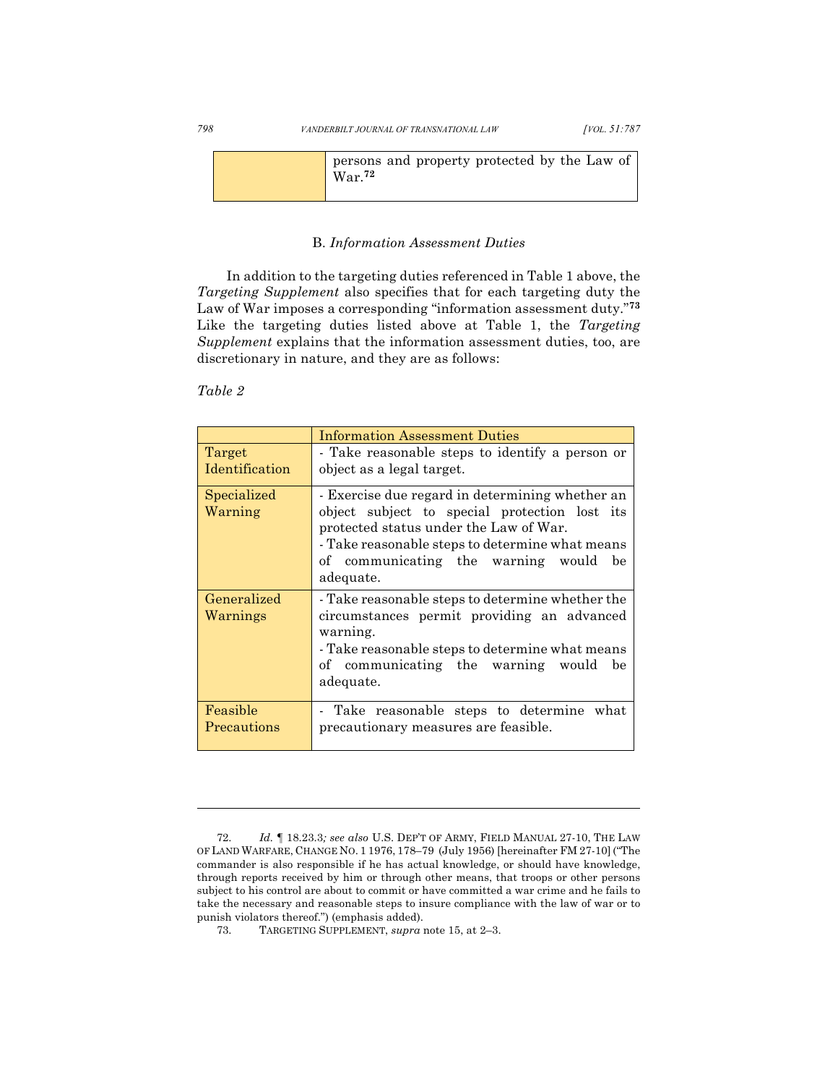|  | persons and property protected by the Law of<br>$\rm{War}.^{72}$ |  |
|--|------------------------------------------------------------------|--|
|--|------------------------------------------------------------------|--|

## B. *Information Assessment Duties*

In addition to the targeting duties referenced in Table 1 above, the *Targeting Supplement* also specifies that for each targeting duty the Law of War imposes a corresponding "information assessment duty."**<sup>73</sup>** Like the targeting duties listed above at Table 1, the *Targeting Supplement* explains that the information assessment duties, too, are discretionary in nature, and they are as follows:

# *Table 2*

|                          | <b>Information Assessment Duties</b>                                                                                                                                                                                                                   |
|--------------------------|--------------------------------------------------------------------------------------------------------------------------------------------------------------------------------------------------------------------------------------------------------|
| Target<br>Identification | - Take reasonable steps to identify a person or<br>object as a legal target.                                                                                                                                                                           |
| Specialized<br>Warning   | - Exercise due regard in determining whether an<br>object subject to special protection lost its<br>protected status under the Law of War.<br>- Take reasonable steps to determine what means<br>of communicating the warning would<br>be<br>adequate. |
| Generalized<br>Warnings  | - Take reasonable steps to determine whether the<br>circumstances permit providing an advanced<br>warning.<br>Take reasonable steps to determine what means<br>of communicating the warning would<br>be<br>adequate.                                   |
| Feasible<br>Precautions  | - Take reasonable steps to determine<br>what<br>precautionary measures are feasible.                                                                                                                                                                   |

<sup>72.</sup> *Id.* ¶ 18.23.3*; see also* U.S. DEP'T OF ARMY, FIELD MANUAL 27-10, THE LAW OF LAND WARFARE, CHANGE NO. 1 1976, 178–79 (July 1956) [hereinafter FM 27-10] ("The commander is also responsible if he has actual knowledge, or should have knowledge, through reports received by him or through other means, that troops or other persons subject to his control are about to commit or have committed a war crime and he fails to take the necessary and reasonable steps to insure compliance with the law of war or to punish violators thereof.") (emphasis added).

<sup>73.</sup> TARGETING SUPPLEMENT, *supra* note 15, at 2–3.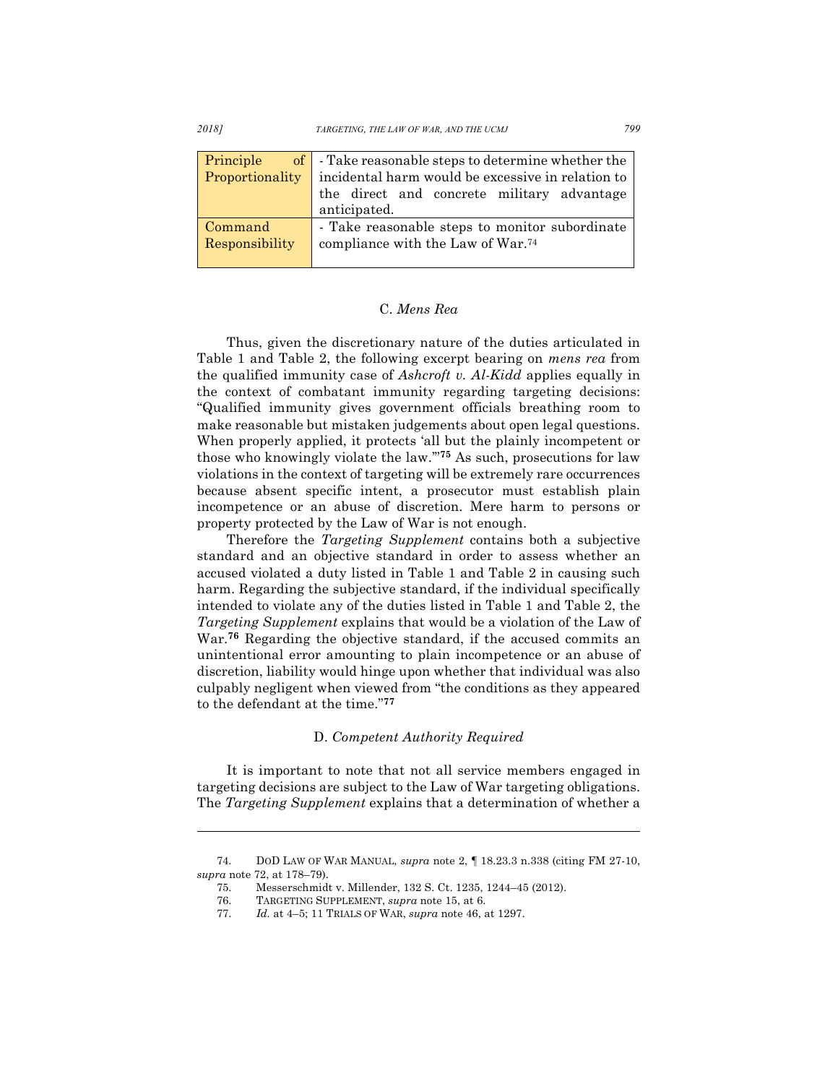*2018] TARGETING, THE LAW OF WAR, AND THE UCMJ 799*

|                 | <b>Principle</b> of $\vert$ - Take reasonable steps to determine whether the |
|-----------------|------------------------------------------------------------------------------|
| Proportionality | incidental harm would be excessive in relation to                            |
|                 | the direct and concrete military advantage                                   |
|                 | anticipated.                                                                 |
| Command         | - Take reasonable steps to monitor subordinate                               |
| Responsibility  | compliance with the Law of War. <sup>74</sup>                                |

# C. *Mens Rea*

Thus, given the discretionary nature of the duties articulated in Table 1 and Table 2, the following excerpt bearing on *mens rea* from the qualified immunity case of *Ashcroft v. Al-Kidd* applies equally in the context of combatant immunity regarding targeting decisions: "Qualified immunity gives government officials breathing room to make reasonable but mistaken judgements about open legal questions. When properly applied, it protects 'all but the plainly incompetent or those who knowingly violate the law.'"**<sup>75</sup>** As such, prosecutions for law violations in the context of targeting will be extremely rare occurrences because absent specific intent, a prosecutor must establish plain incompetence or an abuse of discretion. Mere harm to persons or property protected by the Law of War is not enough.

Therefore the *Targeting Supplement* contains both a subjective standard and an objective standard in order to assess whether an accused violated a duty listed in Table 1 and Table 2 in causing such harm. Regarding the subjective standard, if the individual specifically intended to violate any of the duties listed in Table 1 and Table 2, the *Targeting Supplement* explains that would be a violation of the Law of War.**<sup>76</sup>** Regarding the objective standard, if the accused commits an unintentional error amounting to plain incompetence or an abuse of discretion, liability would hinge upon whether that individual was also culpably negligent when viewed from "the conditions as they appeared to the defendant at the time."**<sup>77</sup>**

## D. *Competent Authority Required*

It is important to note that not all service members engaged in targeting decisions are subject to the Law of War targeting obligations. The *Targeting Supplement* explains that a determination of whether a

<sup>74.</sup> DOD LAW OF WAR MANUAL, *supra* note 2, ¶ 18.23.3 n.338 (citing FM 27-10, *supra* note 72, at 178–79).

<sup>75.</sup> Messerschmidt v. Millender, 132 S. Ct. 1235, 1244–45 (2012).

<sup>76.</sup> TARGETING SUPPLEMENT, *supra* note 15, at 6.

<sup>77.</sup> *Id.* at 4–5; 11 TRIALS OF WAR, *supra* note 46, at 1297.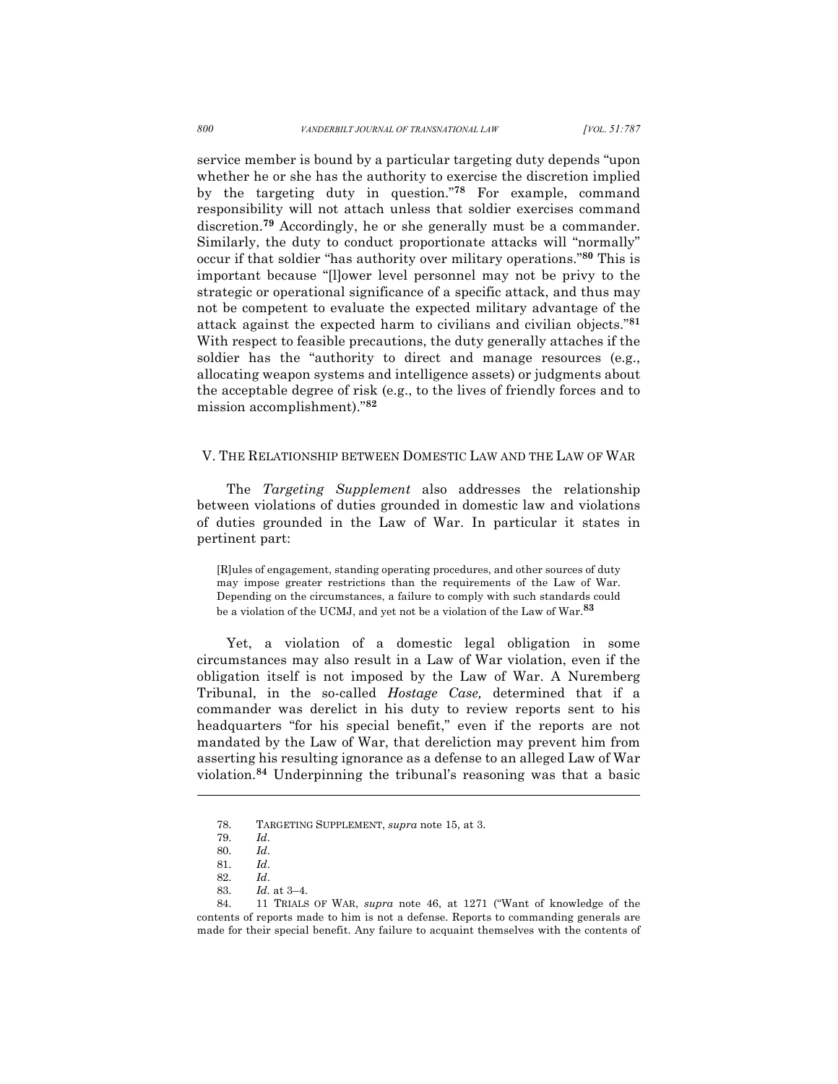service member is bound by a particular targeting duty depends "upon whether he or she has the authority to exercise the discretion implied by the targeting duty in question."**<sup>78</sup>** For example, command responsibility will not attach unless that soldier exercises command discretion.**<sup>79</sup>** Accordingly, he or she generally must be a commander. Similarly, the duty to conduct proportionate attacks will "normally" occur if that soldier "has authority over military operations."**<sup>80</sup>** This is important because "[l]ower level personnel may not be privy to the strategic or operational significance of a specific attack, and thus may not be competent to evaluate the expected military advantage of the attack against the expected harm to civilians and civilian objects."**<sup>81</sup>** With respect to feasible precautions, the duty generally attaches if the soldier has the "authority to direct and manage resources (e.g., allocating weapon systems and intelligence assets) or judgments about the acceptable degree of risk (e.g., to the lives of friendly forces and to mission accomplishment)."**<sup>82</sup>**

#### V. THE RELATIONSHIP BETWEEN DOMESTIC LAW AND THE LAW OF WAR

The *Targeting Supplement* also addresses the relationship between violations of duties grounded in domestic law and violations of duties grounded in the Law of War. In particular it states in pertinent part:

[R]ules of engagement, standing operating procedures, and other sources of duty may impose greater restrictions than the requirements of the Law of War. Depending on the circumstances, a failure to comply with such standards could be a violation of the UCMJ, and yet not be a violation of the Law of War.**<sup>83</sup>**

Yet, a violation of a domestic legal obligation in some circumstances may also result in a Law of War violation, even if the obligation itself is not imposed by the Law of War. A Nuremberg Tribunal, in the so-called *Hostage Case,* determined that if a commander was derelict in his duty to review reports sent to his headquarters "for his special benefit," even if the reports are not mandated by the Law of War, that dereliction may prevent him from asserting his resulting ignorance as a defense to an alleged Law of War violation.**<sup>84</sup>** Underpinning the tribunal's reasoning was that a basic

<sup>78.</sup> TARGETING SUPPLEMENT, *supra* note 15, at 3.

<sup>79.</sup> *Id*.

<sup>80.</sup> *Id*. 81. *Id*.

<sup>82.</sup> *Id*. 83. *Id.* at 3–4.

<sup>84.</sup> 11 TRIALS OF WAR, *supra* note 46, at 1271 ("Want of knowledge of the contents of reports made to him is not a defense. Reports to commanding generals are made for their special benefit. Any failure to acquaint themselves with the contents of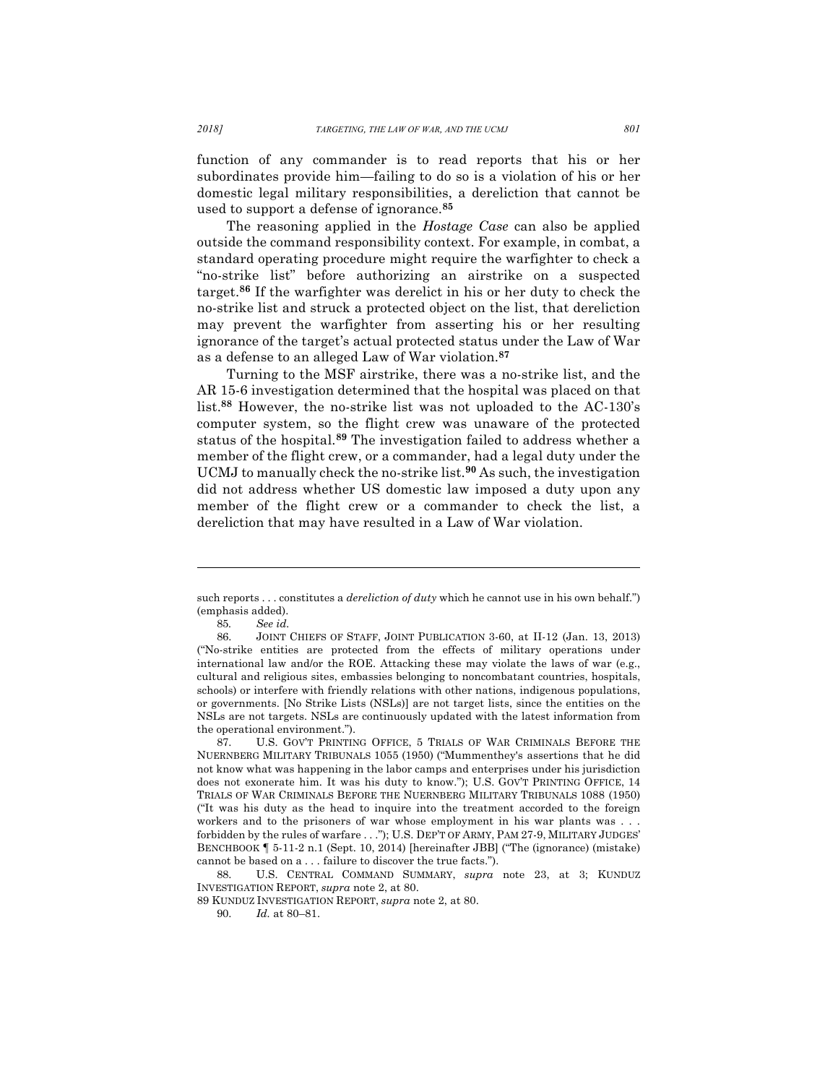function of any commander is to read reports that his or her subordinates provide him—failing to do so is a violation of his or her domestic legal military responsibilities, a dereliction that cannot be used to support a defense of ignorance.**<sup>85</sup>**

The reasoning applied in the *Hostage Case* can also be applied outside the command responsibility context. For example, in combat, a standard operating procedure might require the warfighter to check a "no-strike list" before authorizing an airstrike on a suspected target.**<sup>86</sup>** If the warfighter was derelict in his or her duty to check the no-strike list and struck a protected object on the list, that dereliction may prevent the warfighter from asserting his or her resulting ignorance of the target's actual protected status under the Law of War as a defense to an alleged Law of War violation.**<sup>87</sup>**

Turning to the MSF airstrike, there was a no-strike list, and the AR 15-6 investigation determined that the hospital was placed on that list.**<sup>88</sup>** However, the no-strike list was not uploaded to the AC-130's computer system, so the flight crew was unaware of the protected status of the hospital.**<sup>89</sup>** The investigation failed to address whether a member of the flight crew, or a commander, had a legal duty under the UCMJ to manually check the no-strike list.**<sup>90</sup>** As such, the investigation did not address whether US domestic law imposed a duty upon any member of the flight crew or a commander to check the list, a dereliction that may have resulted in a Law of War violation.

such reports . . . constitutes a *dereliction of duty* which he cannot use in his own behalf.") (emphasis added).

<sup>85</sup>*. See id.*

<sup>86.</sup> JOINT CHIEFS OF STAFF, JOINT PUBLICATION 3-60, at II-12 (Jan. 13, 2013) ("No-strike entities are protected from the effects of military operations under international law and/or the ROE. Attacking these may violate the laws of war (e.g., cultural and religious sites, embassies belonging to noncombatant countries, hospitals, schools) or interfere with friendly relations with other nations, indigenous populations, or governments. [No Strike Lists (NSLs)] are not target lists, since the entities on the NSLs are not targets. NSLs are continuously updated with the latest information from the operational environment.").

<sup>87.</sup> U.S. GOV'T PRINTING OFFICE, 5 TRIALS OF WAR CRIMINALS BEFORE THE NUERNBERG MILITARY TRIBUNALS 1055 (1950) ("Mummenthey's assertions that he did not know what was happening in the labor camps and enterprises under his jurisdiction does not exonerate him. It was his duty to know."); U.S. GOV'T PRINTING OFFICE, 14 TRIALS OF WAR CRIMINALS BEFORE THE NUERNBERG MILITARY TRIBUNALS 1088 (1950) ("It was his duty as the head to inquire into the treatment accorded to the foreign workers and to the prisoners of war whose employment in his war plants was . . . forbidden by the rules of warfare . . ."); U.S. DEP'T OF ARMY, PAM 27-9, MILITARY JUDGES' BENCHBOOK ¶ 5-11-2 n.1 (Sept. 10, 2014) [hereinafter JBB] ("The (ignorance) (mistake) cannot be based on a *. . .* failure to discover the true facts.").

<sup>88.</sup> U.S. CENTRAL COMMAND SUMMARY, *supra* note 23, at 3; KUNDUZ INVESTIGATION REPORT, *supra* note 2, at 80.

<sup>89</sup> KUNDUZ INVESTIGATION REPORT, *supra* note 2, at 80.

<sup>90.</sup> *Id.* at 80–81.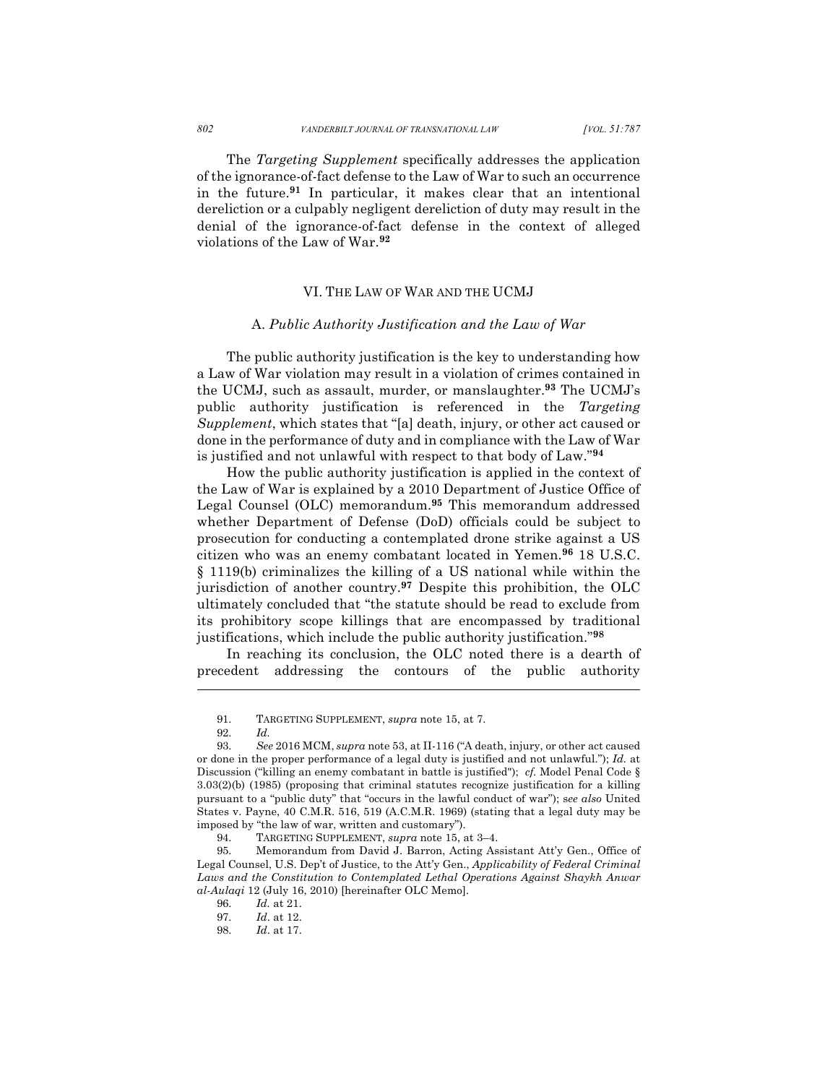The *Targeting Supplement* specifically addresses the application of the ignorance-of-fact defense to the Law of War to such an occurrence in the future.**<sup>91</sup>** In particular, it makes clear that an intentional dereliction or a culpably negligent dereliction of duty may result in the denial of the ignorance-of-fact defense in the context of alleged violations of the Law of War.**<sup>92</sup>**

#### VI. THE LAW OF WAR AND THE UCMJ

#### A. *Public Authority Justification and the Law of War*

The public authority justification is the key to understanding how a Law of War violation may result in a violation of crimes contained in the UCMJ, such as assault, murder, or manslaughter.**<sup>93</sup>** The UCMJ's public authority justification is referenced in the *Targeting Supplement*, which states that "[a] death, injury, or other act caused or done in the performance of duty and in compliance with the Law of War is justified and not unlawful with respect to that body of Law."**<sup>94</sup>**

How the public authority justification is applied in the context of the Law of War is explained by a 2010 Department of Justice Office of Legal Counsel (OLC) memorandum.**<sup>95</sup>** This memorandum addressed whether Department of Defense (DoD) officials could be subject to prosecution for conducting a contemplated drone strike against a US citizen who was an enemy combatant located in Yemen.**<sup>96</sup>** 18 U.S.C. § 1119(b) criminalizes the killing of a US national while within the jurisdiction of another country.**<sup>97</sup>** Despite this prohibition, the OLC ultimately concluded that "the statute should be read to exclude from its prohibitory scope killings that are encompassed by traditional justifications, which include the public authority justification."**<sup>98</sup>**

In reaching its conclusion, the OLC noted there is a dearth of precedent addressing the contours of the public authority

<sup>91.</sup> TARGETING SUPPLEMENT, *supra* note 15, at 7.

<sup>92.</sup> *Id.*

<sup>93.</sup> *See* 2016 MCM, *supra* note 53, at II-116 ("A death, injury, or other act caused or done in the proper performance of a legal duty is justified and not unlawful."); *Id.* at Discussion ("killing an enemy combatant in battle is justified"); *cf.* Model Penal Code § 3.03(2)(b) (1985) (proposing that criminal statutes recognize justification for a killing pursuant to a "public duty" that "occurs in the lawful conduct of war"); s*ee also* United States v. Payne, 40 C.M.R. 516, 519 (A.C.M.R. 1969) (stating that a legal duty may be imposed by "the law of war, written and customary").

<sup>94.</sup> TARGETING SUPPLEMENT, *supra* note 15, at 3–4.

<sup>95.</sup> Memorandum from David J. Barron, Acting Assistant Att'y Gen., Office of Legal Counsel, U.S. Dep't of Justice, to the Att'y Gen., *Applicability of Federal Criminal*  Laws and the Constitution to Contemplated Lethal Operations Against Shaykh Anwar *al-Aulaqi* 12 (July 16, 2010) [hereinafter OLC Memo].

<sup>96.</sup> *Id.* at 21.

<sup>97.</sup> *Id*. at 12.

<sup>98.</sup> *Id*. at 17.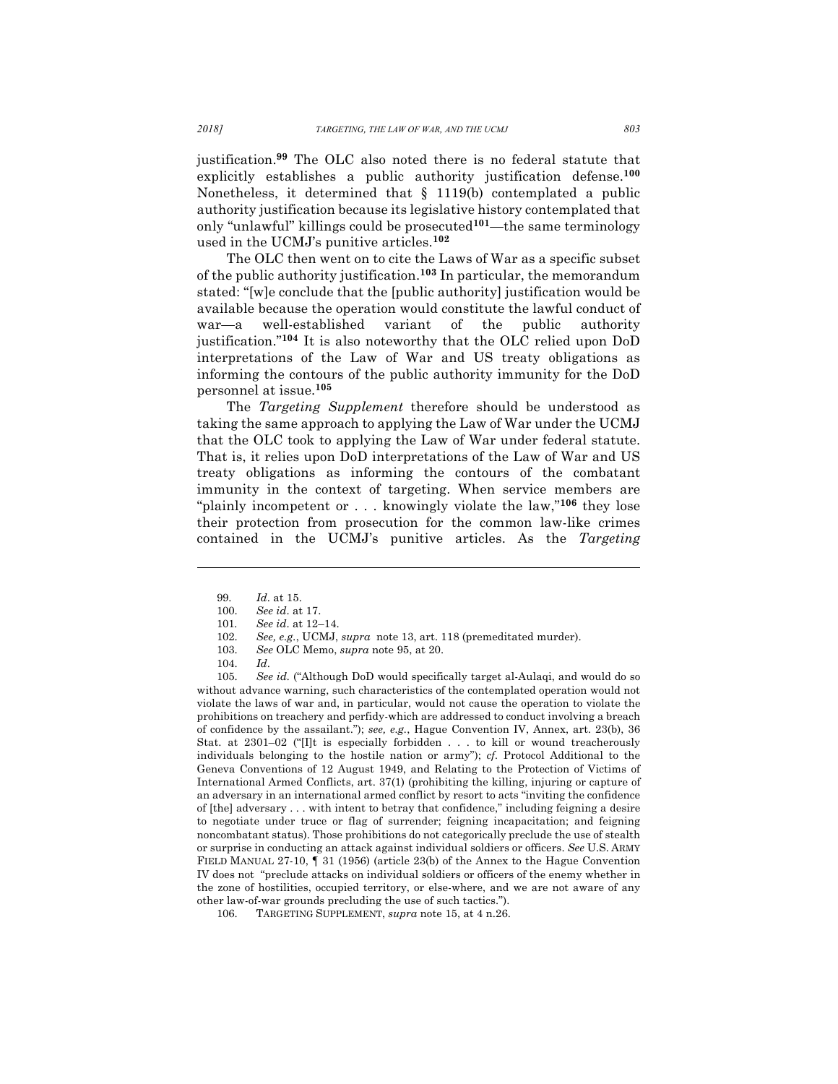justification.**<sup>99</sup>** The OLC also noted there is no federal statute that explicitly establishes a public authority justification defense.**<sup>100</sup>** Nonetheless, it determined that § 1119(b) contemplated a public authority justification because its legislative history contemplated that only "unlawful" killings could be prosecuted**101**—the same terminology used in the UCMJ's punitive articles.**<sup>102</sup>**

The OLC then went on to cite the Laws of War as a specific subset of the public authority justification.**<sup>103</sup>** In particular, the memorandum stated: "[w]e conclude that the [public authority] justification would be available because the operation would constitute the lawful conduct of war—a well-established variant of the public authority justification."**<sup>104</sup>** It is also noteworthy that the OLC relied upon DoD interpretations of the Law of War and US treaty obligations as informing the contours of the public authority immunity for the DoD personnel at issue.**<sup>105</sup>**

The *Targeting Supplement* therefore should be understood as taking the same approach to applying the Law of War under the UCMJ that the OLC took to applying the Law of War under federal statute. That is, it relies upon DoD interpretations of the Law of War and US treaty obligations as informing the contours of the combatant immunity in the context of targeting. When service members are "plainly incompetent or . . . knowingly violate the law,"**<sup>106</sup>** they lose their protection from prosecution for the common law-like crimes contained in the UCMJ's punitive articles. As the *Targeting*

l

105. *See id.* ("Although DoD would specifically target al-Aulaqi, and would do so without advance warning, such characteristics of the contemplated operation would not violate the laws of war and, in particular, would not cause the operation to violate the prohibitions on treachery and perfidy-which are addressed to conduct involving a breach of confidence by the assailant."); *see, e.g.*, Hague Convention IV, Annex, art. 23(b), 36 Stat. at 2301–02 ("[I]t is especially forbidden . . . to kill or wound treacherously individuals belonging to the hostile nation or army"); *cf.* Protocol Additional to the Geneva Conventions of 12 August 1949, and Relating to the Protection of Victims of International Armed Conflicts, art. 37(1) (prohibiting the killing, injuring or capture of an adversary in an international armed conflict by resort to acts "inviting the confidence of [the] adversary . . . with intent to betray that confidence," including feigning a desire to negotiate under truce or flag of surrender; feigning incapacitation; and feigning noncombatant status). Those prohibitions do not categorically preclude the use of stealth or surprise in conducting an attack against individual soldiers or officers. *See* U.S. ARMY FIELD MANUAL 27-10, ¶ 31 (1956) (article 23(b) of the Annex to the Hague Convention IV does not "preclude attacks on individual soldiers or officers of the enemy whether in the zone of hostilities, occupied territory, or else-where, and we are not aware of any other law-of-war grounds precluding the use of such tactics.").

<sup>99.</sup> *Id*. at 15.

<sup>100.</sup> *See id*. at 17.

<sup>101</sup>*. See id*. at 12–14.

<sup>102.</sup> *See, e.g.*, UCMJ, *supra* note 13, art. 118 (premeditated murder).

<sup>103.</sup> *See* OLC Memo, *supra* note 95, at 20.

<sup>104.</sup> *Id*.

<sup>106.</sup> TARGETING SUPPLEMENT, *supra* note 15, at 4 n.26.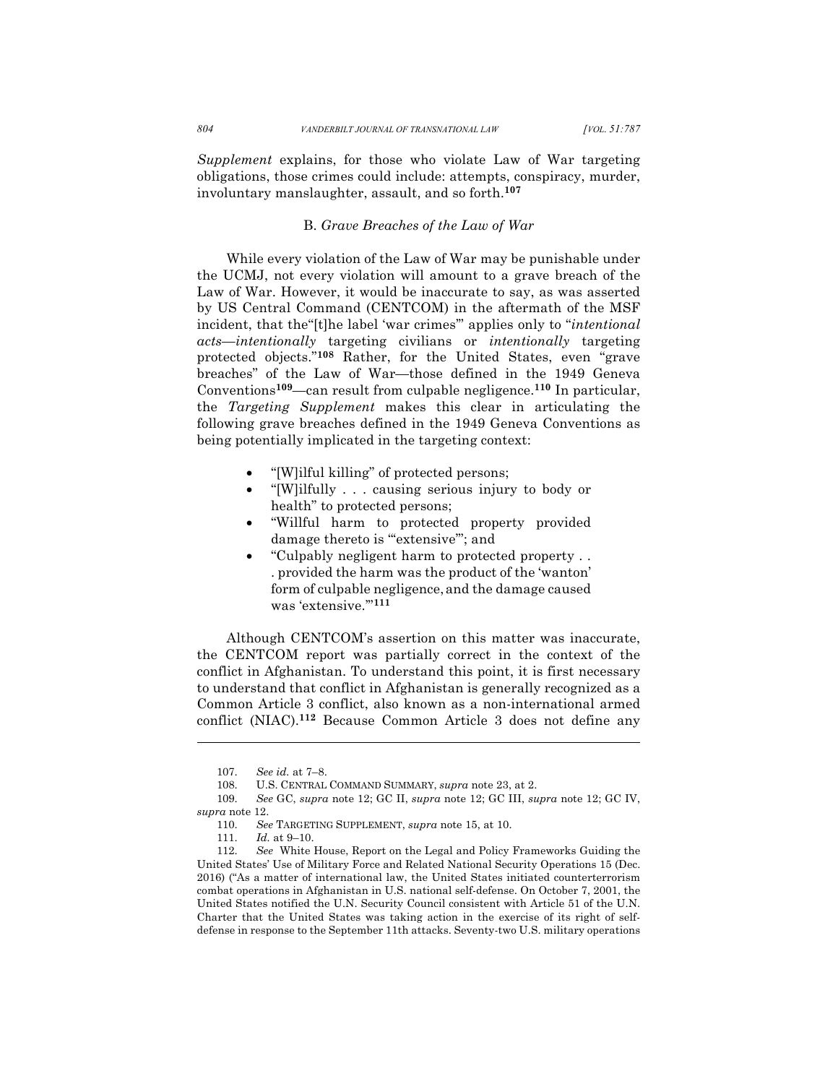*Supplement* explains, for those who violate Law of War targeting obligations, those crimes could include: attempts, conspiracy, murder, involuntary manslaughter, assault, and so forth.**<sup>107</sup>**

## B. *Grave Breaches of the Law of War*

While every violation of the Law of War may be punishable under the UCMJ, not every violation will amount to a grave breach of the Law of War. However, it would be inaccurate to say, as was asserted by US Central Command (CENTCOM) in the aftermath of the MSF incident, that the"[t]he label 'war crimes'" applies only to "*intentional acts*—*intentionally* targeting civilians or *intentionally* targeting protected objects."**<sup>108</sup>** Rather, for the United States, even "grave breaches" of the Law of War—those defined in the 1949 Geneva Conventions**109**—can result from culpable negligence.**<sup>110</sup>** In particular, the *Targeting Supplement* makes this clear in articulating the following grave breaches defined in the 1949 Geneva Conventions as being potentially implicated in the targeting context:

- "[W]ilful killing" of protected persons;
- "[W]ilfully . . . causing serious injury to body or health" to protected persons;
- "Willful harm to protected property provided damage thereto is "extensive"; and
- "Culpably negligent harm to protected property . . . provided the harm was the product of the 'wanton' form of culpable negligence,and the damage caused was 'extensive.'"**<sup>111</sup>**

Although CENTCOM's assertion on this matter was inaccurate, the CENTCOM report was partially correct in the context of the conflict in Afghanistan. To understand this point, it is first necessary to understand that conflict in Afghanistan is generally recognized as a Common Article 3 conflict, also known as a non-international armed conflict (NIAC).**<sup>112</sup>** Because Common Article 3 does not define any

<sup>107.</sup> *See id.* at 7–8.

<sup>108.</sup> U.S. CENTRAL COMMAND SUMMARY, *supra* note 23, at 2.

<sup>109.</sup> *See* GC, *supra* note 12; GC II, *supra* note 12; GC III, *supra* note 12; GC IV, *supra* note 12.

<sup>110.</sup> *See* TARGETING SUPPLEMENT, *supra* note 15, at 10.

<sup>111.</sup> *Id.* at 9–10.

<sup>112.</sup> *See* White House, Report on the Legal and Policy Frameworks Guiding the United States' Use of Military Force and Related National Security Operations 15 (Dec. 2016) ("As a matter of international law, the United States initiated counterterrorism combat operations in Afghanistan in U.S. national self-defense. On October 7, 2001, the United States notified the U.N. Security Council consistent with Article 51 of the U.N. Charter that the United States was taking action in the exercise of its right of selfdefense in response to the September 11th attacks. Seventy-two U.S. military operations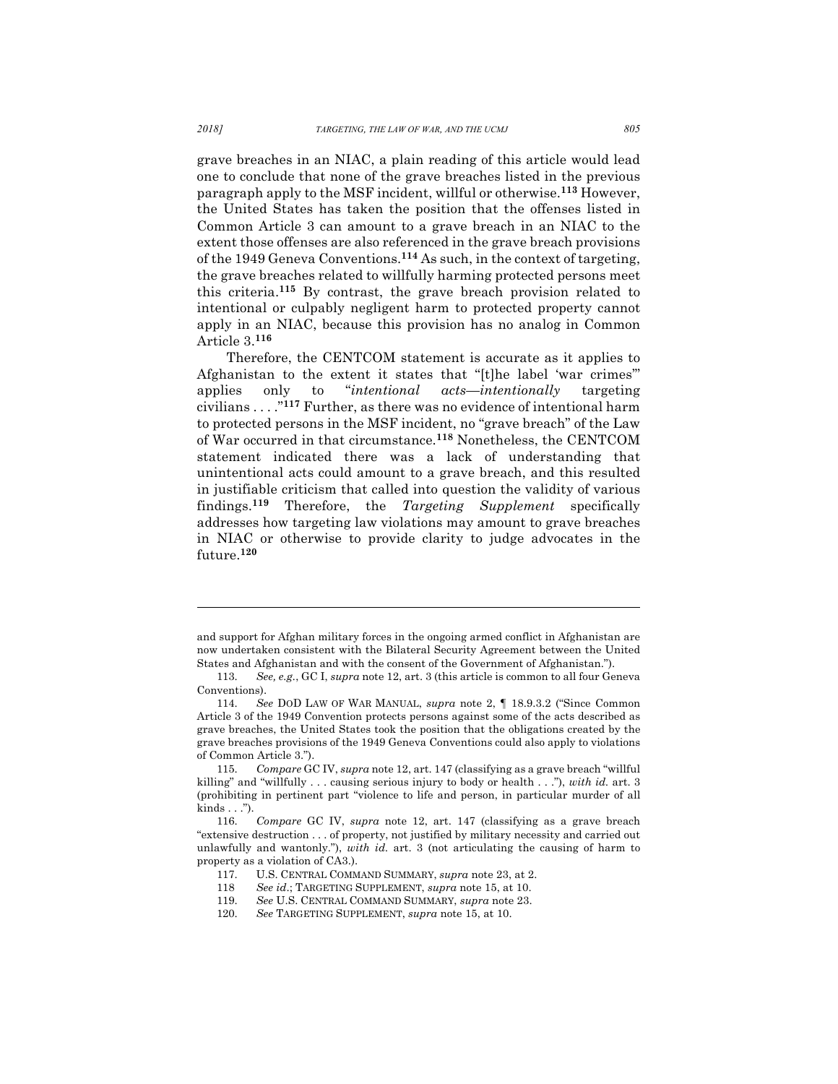grave breaches in an NIAC, a plain reading of this article would lead one to conclude that none of the grave breaches listed in the previous paragraph apply to the MSF incident, willful or otherwise.**<sup>113</sup>** However, the United States has taken the position that the offenses listed in Common Article 3 can amount to a grave breach in an NIAC to the extent those offenses are also referenced in the grave breach provisions of the 1949 Geneva Conventions.**<sup>114</sup>** As such, in the context of targeting, the grave breaches related to willfully harming protected persons meet this criteria.**<sup>115</sup>** By contrast, the grave breach provision related to intentional or culpably negligent harm to protected property cannot apply in an NIAC, because this provision has no analog in Common Article 3.**<sup>116</sup>**

Therefore, the CENTCOM statement is accurate as it applies to Afghanistan to the extent it states that "[t]he label 'war crimes'" applies only to "*intentional acts*—*intentionally* targeting civilians . . . ."**<sup>117</sup>** Further, as there was no evidence of intentional harm to protected persons in the MSF incident, no "grave breach" of the Law of War occurred in that circumstance.**<sup>118</sup>** Nonetheless, the CENTCOM statement indicated there was a lack of understanding that unintentional acts could amount to a grave breach, and this resulted in justifiable criticism that called into question the validity of various findings.**<sup>119</sup>** Therefore, the *Targeting Supplement* specifically addresses how targeting law violations may amount to grave breaches in NIAC or otherwise to provide clarity to judge advocates in the future.**<sup>120</sup>**

and support for Afghan military forces in the ongoing armed conflict in Afghanistan are now undertaken consistent with the Bilateral Security Agreement between the United States and Afghanistan and with the consent of the Government of Afghanistan.").

<sup>113.</sup> *See, e.g.*, GC I, *supra* note 12, art. 3 (this article is common to all four Geneva Conventions).

<sup>114.</sup> *See* DOD LAW OF WAR MANUAL, *supra* note 2, ¶ 18.9.3.2 ("Since Common Article 3 of the 1949 Convention protects persons against some of the acts described as grave breaches, the United States took the position that the obligations created by the grave breaches provisions of the 1949 Geneva Conventions could also apply to violations of Common Article 3.").

<sup>115.</sup> *Compare* GC IV, *supra* note 12, art. 147 (classifying as a grave breach "willful killing" and "willfully . . . causing serious injury to body or health . . ."), *with id.* art. 3 (prohibiting in pertinent part "violence to life and person, in particular murder of all kinds . . .").

<sup>116.</sup> *Compare* GC IV, *supra* note 12, art. 147 (classifying as a grave breach "extensive destruction . . . of property, not justified by military necessity and carried out unlawfully and wantonly."), *with id.* art. 3 (not articulating the causing of harm to property as a violation of CA3.).

<sup>117.</sup> U.S. CENTRAL COMMAND SUMMARY, *supra* note 23, at 2.

<sup>118</sup> *See id*.; TARGETING SUPPLEMENT, *supra* note 15, at 10. 119. *See* U.S. CENTRAL COMMAND SUMMARY, *supra* note 23.

<sup>120.</sup> *See* TARGETING SUPPLEMENT, *supra* note 15, at 10.